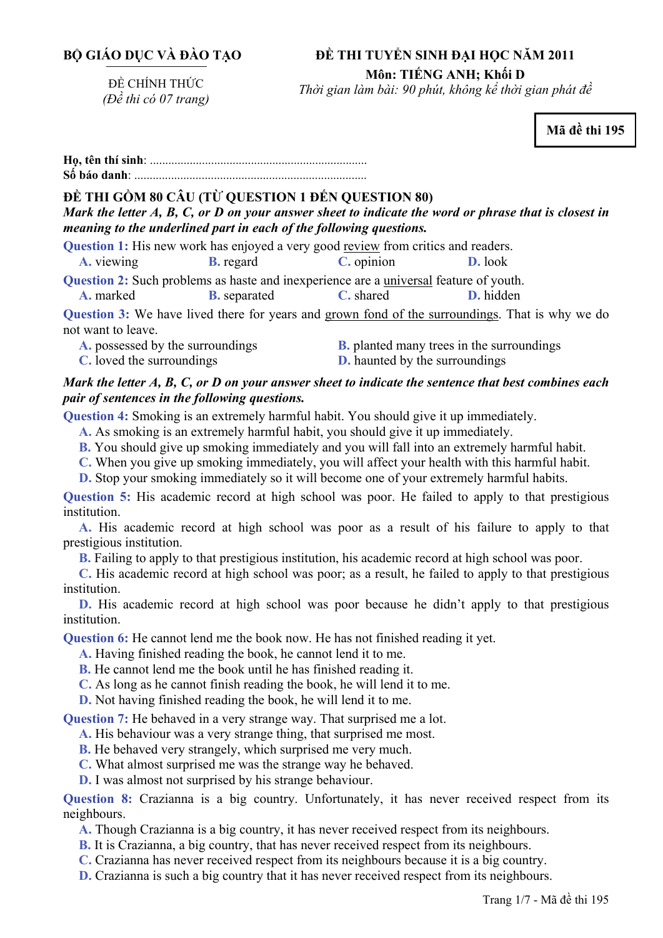## **BỘ GIÁO DỤC VÀ ĐÀO TẠO**

#### **ĐỀ THI TUYỂN SINH ĐẠI HỌC NĂM 2011**

ĐỀ CHÍNH THỨC *(Đề thi có 07 trang)* 

**Môn: TIẾNG ANH; Khối D**  *Thời gian làm bài: 90 phút, không kể thời gian phát đề*

**Mã đề thi 195** 

# **ĐỀ THI GỒM 80 CÂU (TỪ QUESTION 1 ĐẾN QUESTION 80)**

*Mark the letter A, B, C, or D on your answer sheet to indicate the word or phrase that is closest in meaning to the underlined part in each of the following questions.* 

**Question 1:** His new work has enjoyed a very good review from critics and readers.

**A.** viewing **B.** regard **C.** opinion **D.** look

**Question 2:** Such problems as haste and inexperience are a <u>universal</u> feature of youth.<br> **A.** marked **B.** separated **C.** shared **D.** hidden

**A.** marked **B.** separated **C.** shared **D.** hidden

**Question 3:** We have lived there for years and grown fond of the surroundings. That is why we do not want to leave.

**A.** possessed by the surroundings **B.** planted many trees in the surroundings **C.** loved the surroundings **D.** haunted by the surroundings

## *Mark the letter A, B, C, or D on your answer sheet to indicate the sentence that best combines each pair of sentences in the following questions.*

**Question 4:** Smoking is an extremely harmful habit. You should give it up immediately.

**A.** As smoking is an extremely harmful habit, you should give it up immediately.

**B.** You should give up smoking immediately and you will fall into an extremely harmful habit.

**C.** When you give up smoking immediately, you will affect your health with this harmful habit.

**D.** Stop your smoking immediately so it will become one of your extremely harmful habits.

**Question 5:** His academic record at high school was poor. He failed to apply to that prestigious institution.

**A.** His academic record at high school was poor as a result of his failure to apply to that prestigious institution.

**B.** Failing to apply to that prestigious institution, his academic record at high school was poor.

**C.** His academic record at high school was poor; as a result, he failed to apply to that prestigious institution.

**D.** His academic record at high school was poor because he didn't apply to that prestigious institution.

**Question 6:** He cannot lend me the book now. He has not finished reading it yet.

**A.** Having finished reading the book, he cannot lend it to me.

**B.** He cannot lend me the book until he has finished reading it.

**C.** As long as he cannot finish reading the book, he will lend it to me.

**D.** Not having finished reading the book, he will lend it to me.

**Question 7:** He behaved in a very strange way. That surprised me a lot.

**A.** His behaviour was a very strange thing, that surprised me most.

**B.** He behaved very strangely, which surprised me very much.

**C.** What almost surprised me was the strange way he behaved.

**D.** I was almost not surprised by his strange behaviour.

**Question 8:** Crazianna is a big country. Unfortunately, it has never received respect from its neighbours.

- **A.** Though Crazianna is a big country, it has never received respect from its neighbours.
- **B.** It is Crazianna, a big country, that has never received respect from its neighbours.
- **C.** Crazianna has never received respect from its neighbours because it is a big country.
- **D.** Crazianna is such a big country that it has never received respect from its neighbours.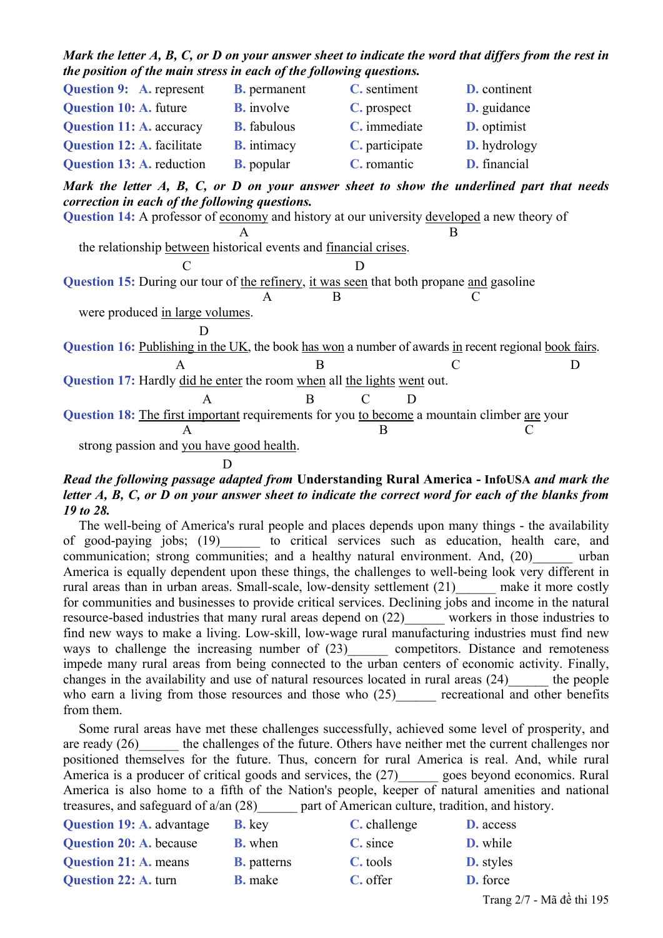| the position of the main stress in each of the following questions.                                                                                                                                                                                                                                                    |                     |                |                     |  |  |  |
|------------------------------------------------------------------------------------------------------------------------------------------------------------------------------------------------------------------------------------------------------------------------------------------------------------------------|---------------------|----------------|---------------------|--|--|--|
| <b>Question 9:</b> A. represent                                                                                                                                                                                                                                                                                        | <b>B.</b> permanent | C. sentiment   | <b>D.</b> continent |  |  |  |
| <b>Question 10: A. future</b>                                                                                                                                                                                                                                                                                          | <b>B.</b> involve   | C. prospect    | D. guidance         |  |  |  |
| <b>Question 11: A. accuracy B. fabulous</b>                                                                                                                                                                                                                                                                            |                     | C. immediate   | D. optimist         |  |  |  |
| <b>Question 12: A. facilitate B. intimacy</b>                                                                                                                                                                                                                                                                          |                     | C. participate | D. hydrology        |  |  |  |
| Question 13: A. reduction                                                                                                                                                                                                                                                                                              | <b>B.</b> popular   | C. romantic    | D. financial        |  |  |  |
| Mark the letter A, B, C, or D on your answer sheet to show the underlined part that needs<br>correction in each of the following questions.<br>Question 14: A professor of economy and history at our university developed a new theory of<br>the relationship between historical events and <u>financial crises</u> . |                     |                |                     |  |  |  |
|                                                                                                                                                                                                                                                                                                                        |                     |                |                     |  |  |  |
| <b>Question 15:</b> During our tour of the refinery, it was seen that both propane and gasoline                                                                                                                                                                                                                        |                     |                |                     |  |  |  |
|                                                                                                                                                                                                                                                                                                                        | $\mathsf{A}$        |                |                     |  |  |  |
| were produced in large volumes.                                                                                                                                                                                                                                                                                        |                     |                |                     |  |  |  |
|                                                                                                                                                                                                                                                                                                                        |                     |                |                     |  |  |  |
| Question 16: Publishing in the UK, the book has won a number of awards in recent regional book fairs.                                                                                                                                                                                                                  |                     |                |                     |  |  |  |
| A                                                                                                                                                                                                                                                                                                                      | B                   | C              | D                   |  |  |  |
| Question 17: Hardly did he enter the room when all the lights went out.                                                                                                                                                                                                                                                |                     |                |                     |  |  |  |
| A                                                                                                                                                                                                                                                                                                                      | B                   | D<br>C         |                     |  |  |  |
| Question 18: The first important requirements for you to become a mountain climber are your                                                                                                                                                                                                                            |                     |                |                     |  |  |  |
|                                                                                                                                                                                                                                                                                                                        |                     | B              |                     |  |  |  |
| strong passion and you have good health.                                                                                                                                                                                                                                                                               |                     |                |                     |  |  |  |
|                                                                                                                                                                                                                                                                                                                        | D                   |                |                     |  |  |  |

*Mark the letter A, B, C, or D on your answer sheet to indicate the word that differs from the rest in* 

### *Read the following passage adapted from* **Understanding Rural America - InfoUSA** *and mark the letter A, B, C, or D on your answer sheet to indicate the correct word for each of the blanks from 19 to 28.*

The well-being of America's rural people and places depends upon many things - the availability of good-paying jobs; (19) to critical services such as education, health care, and communication; strong communities; and a healthy natural environment. And, (20) urban America is equally dependent upon these things, the challenges to well-being look very different in rural areas than in urban areas. Small-scale, low-density settlement (21) make it more costly for communities and businesses to provide critical services. Declining jobs and income in the natural resource-based industries that many rural areas depend on (22)\_\_\_\_\_\_ workers in those industries to find new ways to make a living. Low-skill, low-wage rural manufacturing industries must find new ways to challenge the increasing number of  $(23)$  competitors. Distance and remoteness impede many rural areas from being connected to the urban centers of economic activity. Finally, changes in the availability and use of natural resources located in rural areas (24) the people who earn a living from those resources and those who (25) recreational and other benefits from them.

Some rural areas have met these challenges successfully, achieved some level of prosperity, and are ready (26) the challenges of the future. Others have neither met the current challenges nor positioned themselves for the future. Thus, concern for rural America is real. And, while rural America is a producer of critical goods and services, the  $(27)$  goes beyond economics. Rural America is also home to a fifth of the Nation's people, keeper of natural amenities and national treasures, and safeguard of a/an (28)\_\_\_\_\_\_ part of American culture, tradition, and history.

| <b>Question 19: A. advantage</b> | <b>B.</b> key      | C. challenge | <b>D.</b> access          |
|----------------------------------|--------------------|--------------|---------------------------|
| <b>Question 20: A. because</b>   | <b>B.</b> when     | C. since     | <b>D.</b> while           |
| <b>Question 21: A. means</b>     | <b>B.</b> patterns | C. tools     | <b>D.</b> styles          |
| <b>Question 22: A. turn</b>      | <b>B.</b> make     | C. offer     | D. force                  |
|                                  |                    |              | Trang 2/7 - Mã đề thi 195 |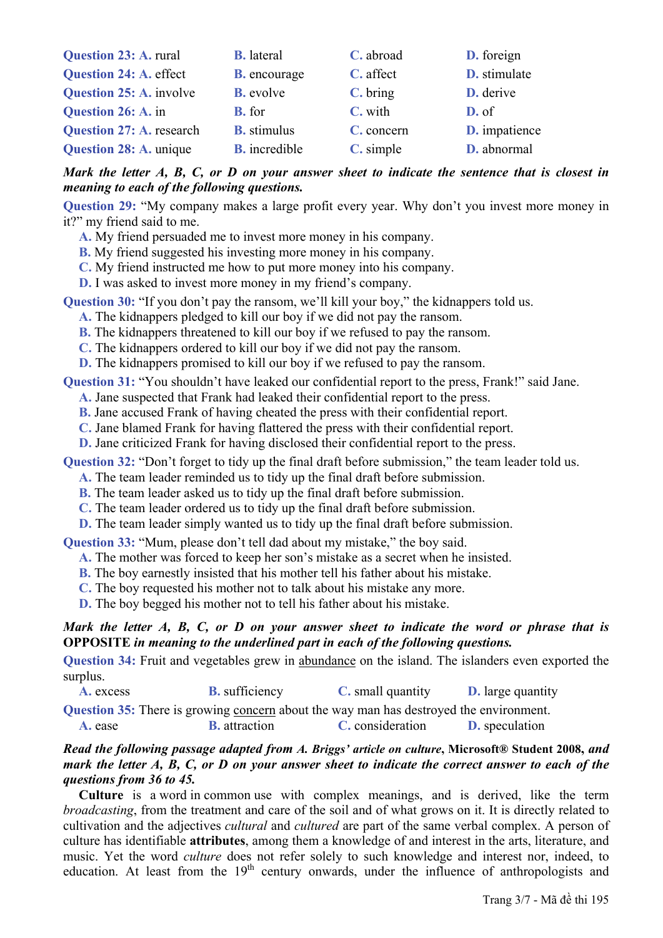| Question 23: A. rural           | <b>B.</b> lateral    | C. abroad  | D. foreign           |
|---------------------------------|----------------------|------------|----------------------|
| Question 24: A. effect          | <b>B.</b> encourage  | C. affect  | D. stimulate         |
| <b>Question 25: A. involve</b>  | <b>B.</b> evolve     | C. bring   | D. derive            |
| Question 26: A. in              | <b>B.</b> for        | C. with    | $D.$ of              |
| <b>Question 27: A. research</b> | <b>B.</b> stimulus   | C. concern | <b>D.</b> impatience |
| Question 28: A. unique          | <b>B.</b> incredible | C. simple  | D. abnormal          |

*Mark the letter A, B, C, or D on your answer sheet to indicate the sentence that is closest in meaning to each of the following questions.* 

**Question 29:** "My company makes a large profit every year. Why don't you invest more money in it?" my friend said to me.

**A.** My friend persuaded me to invest more money in his company.

**B.** My friend suggested his investing more money in his company.

**C.** My friend instructed me how to put more money into his company.

**D.** I was asked to invest more money in my friend's company.

**Question 30:** "If you don't pay the ransom, we'll kill your boy," the kidnappers told us.

**A.** The kidnappers pledged to kill our boy if we did not pay the ransom.

**B.** The kidnappers threatened to kill our boy if we refused to pay the ransom.

**C.** The kidnappers ordered to kill our boy if we did not pay the ransom.

**D.** The kidnappers promised to kill our boy if we refused to pay the ransom.

**Question 31:** "You shouldn't have leaked our confidential report to the press, Frank!" said Jane.

**A.** Jane suspected that Frank had leaked their confidential report to the press.

**B.** Jane accused Frank of having cheated the press with their confidential report.

**C.** Jane blamed Frank for having flattered the press with their confidential report.

**D.** Jane criticized Frank for having disclosed their confidential report to the press.

**Question 32:** "Don't forget to tidy up the final draft before submission," the team leader told us.

**A.** The team leader reminded us to tidy up the final draft before submission.

**B.** The team leader asked us to tidy up the final draft before submission.

**C.** The team leader ordered us to tidy up the final draft before submission.

**D.** The team leader simply wanted us to tidy up the final draft before submission.

**Question 33:** "Mum, please don't tell dad about my mistake," the boy said.

**A.** The mother was forced to keep her son's mistake as a secret when he insisted.

**B.** The boy earnestly insisted that his mother tell his father about his mistake.

**C.** The boy requested his mother not to talk about his mistake any more.

**D.** The boy begged his mother not to tell his father about his mistake.

### *Mark the letter A, B, C, or D on your answer sheet to indicate the word or phrase that is*  **OPPOSITE** *in meaning to the underlined part in each of the following questions.*

**Question 34:** Fruit and vegetables grew in abundance on the island. The islanders even exported the surplus.

**A.** excess **B.** sufficiency **C.** small quantity **D.** large quantity

**Question 35:** There is growing concern about the way man has destroyed the environment.

**A.** ease **B.** attraction **C.** consideration **D.** speculation

#### *Read the following passage adapted from A. Briggs' article on culture***, Microsoft® Student 2008,** *and mark the letter A, B, C, or D on your answer sheet to indicate the correct answer to each of the questions from 36 to 45.*

**Culture** is a word in common use with complex meanings, and is derived, like the term *broadcasting*, from the treatment and care of the soil and of what grows on it. It is directly related to cultivation and the adjectives *cultural* and *cultured* are part of the same verbal complex. A person of culture has identifiable **attributes**, among them a knowledge of and interest in the arts, literature, and music. Yet the word *culture* does not refer solely to such knowledge and interest nor, indeed, to education. At least from the  $19<sup>th</sup>$  century onwards, under the influence of anthropologists and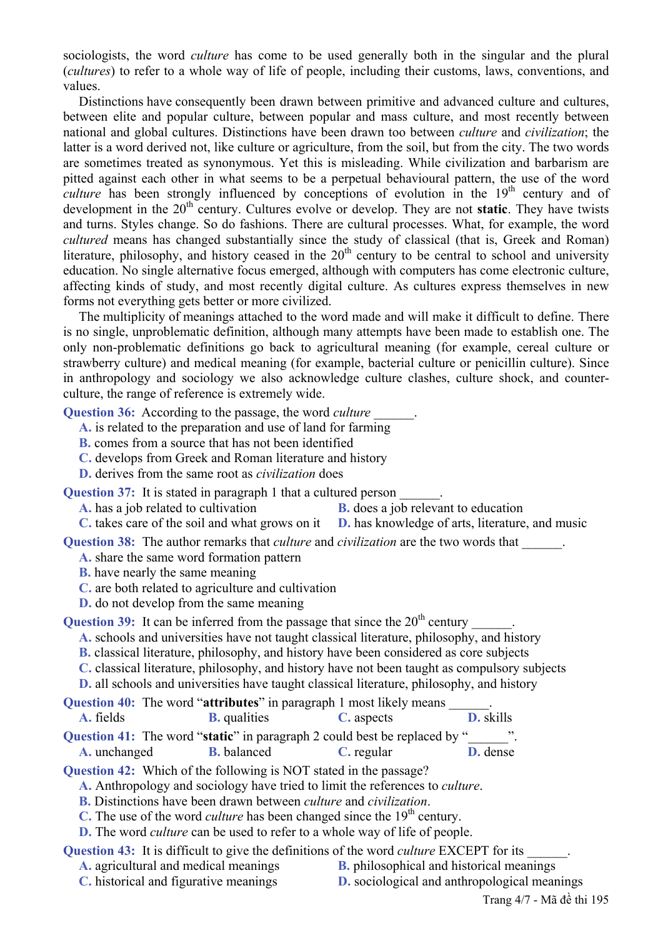sociologists, the word *culture* has come to be used generally both in the singular and the plural (*cultures*) to refer to a whole way of life of people, including their customs, laws, conventions, and values.

Distinctions have consequently been drawn between primitive and advanced culture and cultures, between elite and popular culture, between popular and mass culture, and most recently between national and global cultures. Distinctions have been drawn too between *culture* and *civilization*; the latter is a word derived not, like culture or agriculture, from the soil, but from the city. The two words are sometimes treated as synonymous. Yet this is misleading. While civilization and barbarism are pitted against each other in what seems to be a perpetual behavioural pattern, the use of the word *culture* has been strongly influenced by conceptions of evolution in the 19<sup>th</sup> century and of development in the 20<sup>th</sup> century. Cultures evolve or develop. They are not **static**. They have twists and turns. Styles change. So do fashions. There are cultural processes. What, for example, the word *cultured* means has changed substantially since the study of classical (that is, Greek and Roman) literature, philosophy, and history ceased in the  $20<sup>th</sup>$  century to be central to school and university education. No single alternative focus emerged, although with computers has come electronic culture, affecting kinds of study, and most recently digital culture. As cultures express themselves in new forms not everything gets better or more civilized.

The multiplicity of meanings attached to the word made and will make it difficult to define. There is no single, unproblematic definition, although many attempts have been made to establish one. The only non-problematic definitions go back to agricultural meaning (for example, cereal culture or strawberry culture) and medical meaning (for example, bacterial culture or penicillin culture). Since in anthropology and sociology we also acknowledge culture clashes, culture shock, and counterculture, the range of reference is extremely wide.

**Question 36:** According to the passage, the word *culture* \_\_\_\_\_\_.

- **A.** is related to the preparation and use of land for farming
- **B.** comes from a source that has not been identified
- **C.** develops from Greek and Roman literature and history
- **D.** derives from the same root as *civilization* does

**Question 37:** It is stated in paragraph 1 that a cultured person

- **A.** has a job related to cultivation **B.** does a job relevant to education
- **C.** takes care of the soil and what grows on it **D.** has knowledge of arts, literature, and music

**Question 38:** The author remarks that *culture* and *civilization* are the two words that

**A.** share the same word formation pattern

**B.** have nearly the same meaning

- **C.** are both related to agriculture and cultivation
- **D.** do not develop from the same meaning

```
Question 39: It can be inferred from the passage that since the 20<sup>th</sup> century
```
**A.** schools and universities have not taught classical literature, philosophy, and history

- **B.** classical literature, philosophy, and history have been considered as core subjects
- **C.** classical literature, philosophy, and history have not been taught as compulsory subjects

**D.** all schools and universities have taught classical literature, philosophy, and history

|           |                     | <b>Question 40:</b> The word " <b>attributes</b> " in paragraph 1 most likely means |           |
|-----------|---------------------|-------------------------------------------------------------------------------------|-----------|
| A. fields | <b>B.</b> qualities | C. aspects                                                                          | D. skills |
|           |                     | <b>Oughtion 41:</b> The word "static" in paragraph 2 could best be replaced by "    |           |

|              |                    | $\lambda$ acsum Tr. The word static in paragraph 2 could best be replaced by |                 |
|--------------|--------------------|------------------------------------------------------------------------------|-----------------|
| A. unchanged | <b>B.</b> balanced | C. regular                                                                   | <b>D.</b> dense |

**Question 42:** Which of the following is NOT stated in the passage?

**A.** Anthropology and sociology have tried to limit the references to *culture*.

**B.** Distinctions have been drawn between *culture* and *civilization*.

- **C.** The use of the word *culture* has been changed since the 19<sup>th</sup> century.
- **D.** The word *culture* can be used to refer to a whole way of life of people.

Question 43: It is difficult to give the definitions of the word *culture* EXCEPT for its

- 
- **A.** agricultural and medical meanings **B.** philosophical and historical meanings
- **C.** historical and figurative meanings **D.** sociological and anthropological meanings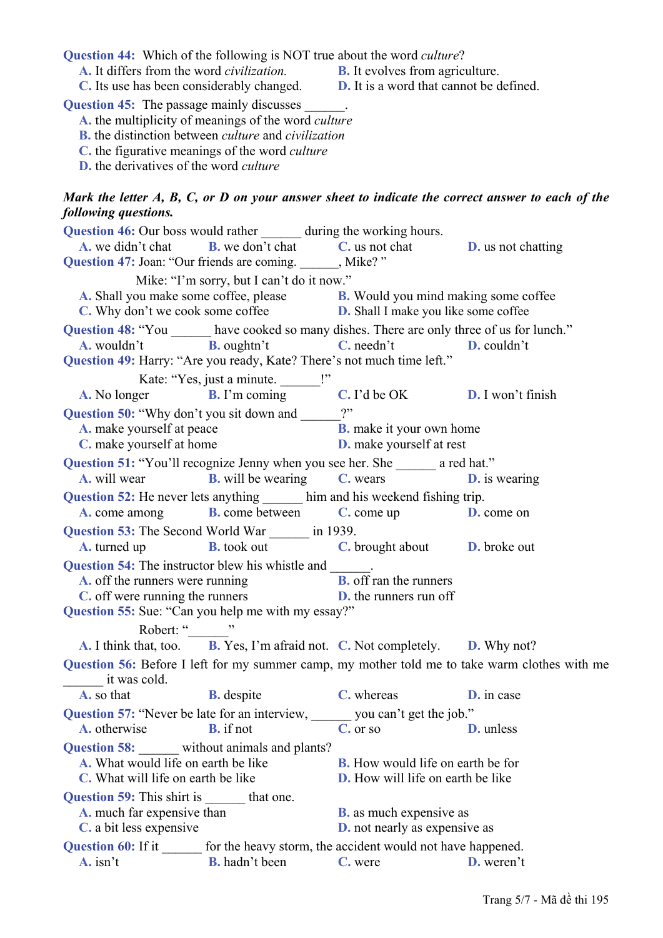**Question 44:** Which of the following is NOT true about the word *culture*?

**A.** It differs from the word *civilization.* **B.** It evolves from agriculture.

**C.** Its use has been considerably changed. **D.** It is a word that cannot be defined.

**Question 45:** The passage mainly discusses

**A.** the multiplicity of meanings of the word *culture*

**B.** the distinction between *culture* and *civilization*

**C.** the figurative meanings of the word *culture*

**D.** the derivatives of the word *culture*

### *Mark the letter A, B, C, or D on your answer sheet to indicate the correct answer to each of the following questions.*

| <b>Question 46:</b> Our boss would rather ________ during the working hours.                |                                                                                                                                                                               |                                                                    |                                                                                               |  |  |
|---------------------------------------------------------------------------------------------|-------------------------------------------------------------------------------------------------------------------------------------------------------------------------------|--------------------------------------------------------------------|-----------------------------------------------------------------------------------------------|--|--|
|                                                                                             | <b>A.</b> we didn't chat <b>B.</b> we don't chat <b>C.</b> us not chat <b>D.</b> us not chatting                                                                              |                                                                    |                                                                                               |  |  |
| Question 47: Joan: "Our friends are coming. ______, Mike?"                                  |                                                                                                                                                                               |                                                                    |                                                                                               |  |  |
|                                                                                             | Mike: "I'm sorry, but I can't do it now."                                                                                                                                     |                                                                    |                                                                                               |  |  |
|                                                                                             |                                                                                                                                                                               |                                                                    |                                                                                               |  |  |
|                                                                                             | <b>A.</b> Shall you make some coffee, please <b>B.</b> Would you mind making some coffee <b>C</b> . Why don't we cook some coffee <b>D.</b> Shall I make you like some coffee |                                                                    |                                                                                               |  |  |
| Question 48: "You ______ have cooked so many dishes. There are only three of us for lunch." |                                                                                                                                                                               |                                                                    |                                                                                               |  |  |
|                                                                                             | <b>A.</b> wouldn't <b>B.</b> oughtn't <b>C.</b> needn't <b>D.</b> couldn't                                                                                                    |                                                                    |                                                                                               |  |  |
| Question 49: Harry: "Are you ready, Kate? There's not much time left."                      |                                                                                                                                                                               |                                                                    |                                                                                               |  |  |
|                                                                                             | Kate: "Yes, just a minute. ______!"                                                                                                                                           |                                                                    |                                                                                               |  |  |
|                                                                                             | A. No longer <b>B.</b> I'm coming <b>C.</b> I'd be OK <b>D.</b> I won't finish                                                                                                |                                                                    |                                                                                               |  |  |
| Question 50: "Why don't you sit down and ______?"                                           |                                                                                                                                                                               |                                                                    |                                                                                               |  |  |
| A. make yourself at peace                                                                   |                                                                                                                                                                               |                                                                    |                                                                                               |  |  |
| C. make yourself at home                                                                    |                                                                                                                                                                               | <b>B.</b> make it your own home<br><b>D.</b> make yourself at rest |                                                                                               |  |  |
| Question 51: "You'll recognize Jenny when you see her. She ______ a red hat."               |                                                                                                                                                                               |                                                                    |                                                                                               |  |  |
|                                                                                             | <b>A.</b> will wear <b>B.</b> will be wearing <b>C.</b> wears <b>D.</b> is wearing                                                                                            |                                                                    |                                                                                               |  |  |
| Question 52: He never lets anything _______ him and his weekend fishing trip.               |                                                                                                                                                                               |                                                                    |                                                                                               |  |  |
|                                                                                             | <b>A.</b> come among <b>B.</b> come between <b>C.</b> come up <b>D.</b> come on                                                                                               |                                                                    |                                                                                               |  |  |
| Question 53: The Second World War _______ in 1939.                                          |                                                                                                                                                                               |                                                                    |                                                                                               |  |  |
|                                                                                             | <b>A.</b> turned up <b>B.</b> took out <b>C.</b> brought about <b>D.</b> broke out                                                                                            |                                                                    |                                                                                               |  |  |
| <b>Question 54:</b> The instructor blew his whistle and _______.                            |                                                                                                                                                                               |                                                                    |                                                                                               |  |  |
|                                                                                             | <b>A.</b> off the runners were running<br><b>C.</b> off were running the runners<br><b>D.</b> the runners run off                                                             |                                                                    |                                                                                               |  |  |
|                                                                                             |                                                                                                                                                                               |                                                                    |                                                                                               |  |  |
| Question 55: Sue: "Can you help me with my essay?"                                          |                                                                                                                                                                               |                                                                    |                                                                                               |  |  |
| Robert: "________"                                                                          |                                                                                                                                                                               |                                                                    |                                                                                               |  |  |
|                                                                                             | A. I think that, too. B. Yes, I'm afraid not. C. Not completely. D. Why not?                                                                                                  |                                                                    |                                                                                               |  |  |
|                                                                                             |                                                                                                                                                                               |                                                                    | Question 56: Before I left for my summer camp, my mother told me to take warm clothes with me |  |  |
| $\frac{1}{\sqrt{1-\frac{1}{2}}}\,$ it was cold.                                             |                                                                                                                                                                               |                                                                    |                                                                                               |  |  |
| <b>A.</b> so that                                                                           | <b>B.</b> despite <b>C.</b> whereas <b>D.</b> in case                                                                                                                         |                                                                    |                                                                                               |  |  |
| Question 57: "Never be late for an interview, you can't get the job."                       |                                                                                                                                                                               |                                                                    |                                                                                               |  |  |
| A. otherwise                                                                                | <b>B.</b> if not                                                                                                                                                              | C. or so                                                           | <b>D.</b> unless                                                                              |  |  |
| <b>Question 58:</b> without animals and plants?                                             |                                                                                                                                                                               |                                                                    |                                                                                               |  |  |
| A. What would life on earth be like<br><b>B.</b> How would life on earth be for             |                                                                                                                                                                               |                                                                    |                                                                                               |  |  |
| C. What will life on earth be like<br><b>D.</b> How will life on earth be like              |                                                                                                                                                                               |                                                                    |                                                                                               |  |  |
| Question 59: This shirt is that one.                                                        |                                                                                                                                                                               |                                                                    |                                                                                               |  |  |
| A. much far expensive than                                                                  |                                                                                                                                                                               | <b>B.</b> as much expensive as                                     |                                                                                               |  |  |
| C. a bit less expensive                                                                     |                                                                                                                                                                               | <b>D.</b> not nearly as expensive as                               |                                                                                               |  |  |
| <b>Question 60:</b> If it<br>for the heavy storm, the accident would not have happened.     |                                                                                                                                                                               |                                                                    |                                                                                               |  |  |
| $\mathbf{A}$ . isn't                                                                        | <b>B.</b> hadn't been                                                                                                                                                         | C. were                                                            | <b>D.</b> weren't                                                                             |  |  |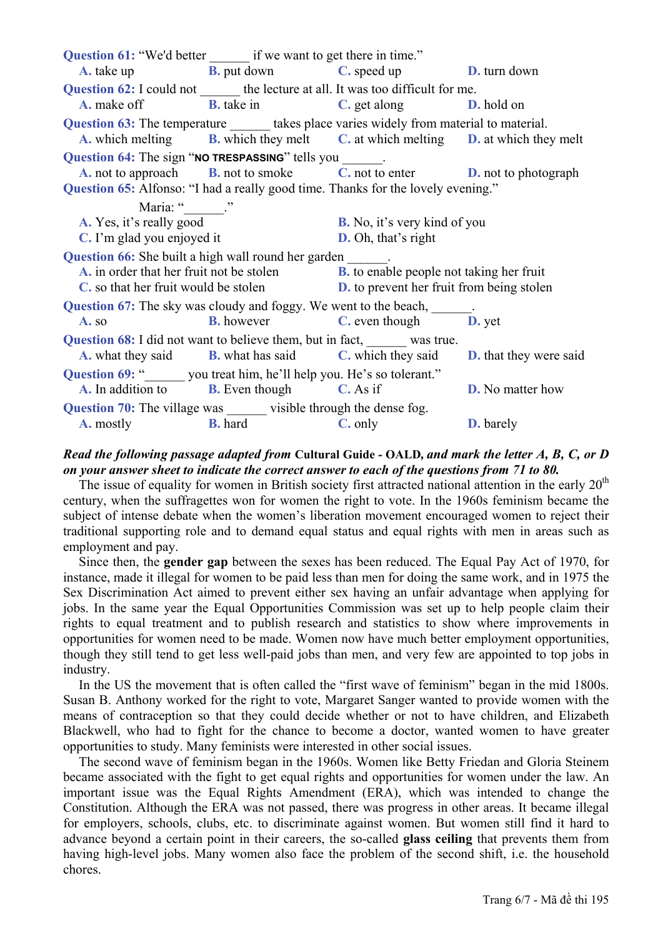**Question 61:** "We'd better if we want to get there in time." **A.** take up **B.** put down **C.** speed up **D.** turn down **Question 62:** I could not the lecture at all. It was too difficult for me. **A.** make off **B.** take in **C.** get along **D.** hold on **Question 63:** The temperature takes place varies widely from material to material. **A.** which melting **B.** which they melt **C.** at which melting **D.** at which they melt Question 64: The sign "NO TRESPASSING" tells you **A.** not to approach **B.** not to smoke **C.** not to enter **D.** not to photograph **Question 65:** Alfonso: "I had a really good time. Thanks for the lovely evening." Maria: " **A.** Yes, it's really good **B.** No, it's very kind of you **C.** I'm glad you enjoyed it **D.** Oh, that's right **Question 66:** She built a high wall round her garden **A.** in order that her fruit not be stolen **B.** to enable people not taking her fruit **C.** so that her fruit would be stolen **D.** to prevent her fruit from being stolen **Question 67:** The sky was cloudy and foggy. We went to the beach, **A.** so **B.** however **C.** even though **D.** yet **Question 68:** I did not want to believe them, but in fact, was true. **A.** what they said **B.** what has said **C.** which they said **D.** that they were said **Question 69:** " you treat him, he'll help you. He's so tolerant." **A.** In addition to **B.** Even though **C.** As if **D.** No matter how **Question 70:** The village was visible through the dense fog. **A.** mostly **B.** hard **C.** only **D.** barely

### *Read the following passage adapted from* **Cultural Guide - OALD***, and mark the letter A, B, C, or D on your answer sheet to indicate the correct answer to each of the questions from 71 to 80.*

The issue of equality for women in British society first attracted national attention in the early  $20<sup>th</sup>$ century, when the suffragettes won for women the right to vote. In the 1960s feminism became the subject of intense debate when the women's liberation movement encouraged women to reject their traditional supporting role and to demand equal status and equal rights with men in areas such as employment and pay.

Since then, the **gender gap** between the sexes has been reduced. The Equal Pay Act of 1970, for instance, made it illegal for women to be paid less than men for doing the same work, and in 1975 the Sex Discrimination Act aimed to prevent either sex having an unfair advantage when applying for jobs. In the same year the Equal Opportunities Commission was set up to help people claim their rights to equal treatment and to publish research and statistics to show where improvements in opportunities for women need to be made. Women now have much better employment opportunities, though they still tend to get less well-paid jobs than men, and very few are appointed to top jobs in industry.

In the US the movement that is often called the "first wave of feminism" began in the mid 1800s. Susan B. Anthony worked for the right to vote, Margaret Sanger wanted to provide women with the means of contraception so that they could decide whether or not to have children, and Elizabeth Blackwell, who had to fight for the chance to become a doctor, wanted women to have greater opportunities to study. Many feminists were interested in other social issues.

The second wave of feminism began in the 1960s. Women like Betty Friedan and Gloria Steinem became associated with the fight to get equal rights and opportunities for women under the law. An important issue was the Equal Rights Amendment (ERA), which was intended to change the Constitution. Although the ERA was not passed, there was progress in other areas. It became illegal for employers, schools, clubs, etc. to discriminate against women. But women still find it hard to advance beyond a certain point in their careers, the so-called **glass ceiling** that prevents them from having high-level jobs. Many women also face the problem of the second shift, i.e. the household chores.